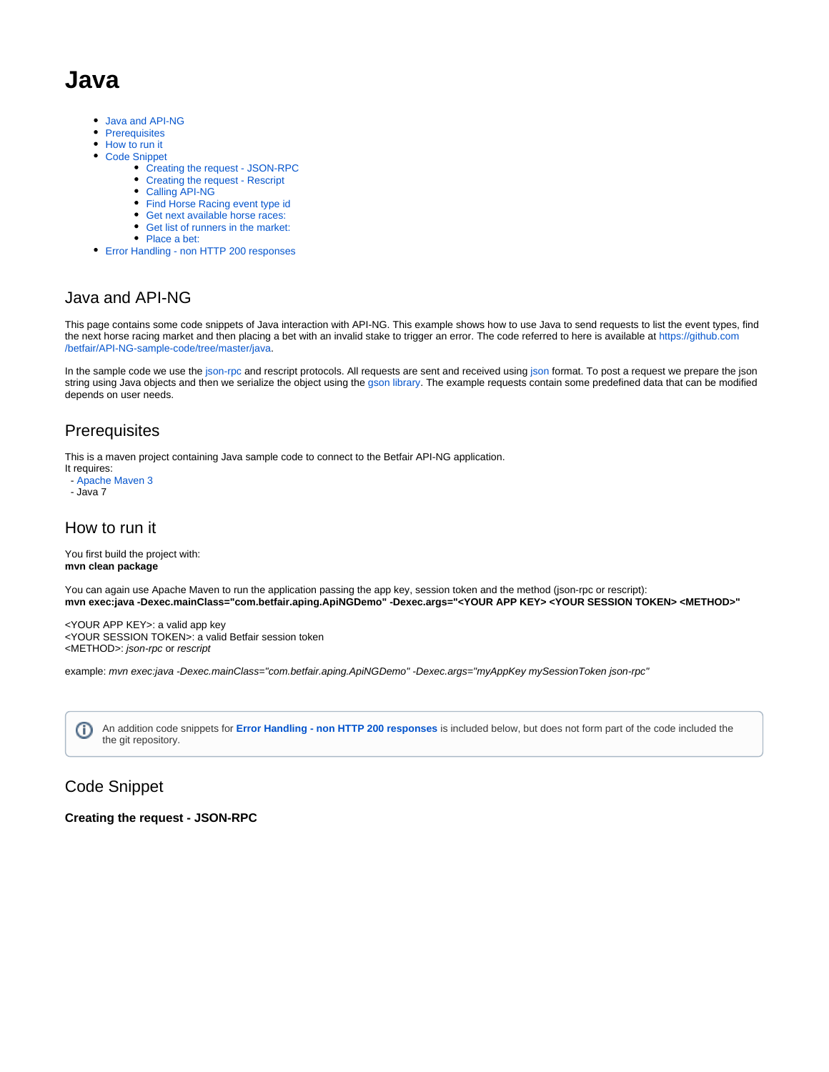# **Java**

- [Java and API-NG](#page-0-0)
- [Prerequisites](#page-0-1)
- [How to run it](#page-0-2)
- [Code Snippet](#page-0-3)
	- [Creating the request JSON-RPC](#page-0-4)
	- [Creating the request Rescript](#page-1-0)
	- [Calling API-NG](#page-1-1)
	- [Find Horse Racing event type id](#page-2-0)
	- [Get next available horse races:](#page-2-1)
	- [Get list of runners in the market:](#page-3-0)
	- [Place a bet:](#page-3-1)
- [Error Handling non HTTP 200 responses](#page-4-0)

### <span id="page-0-0"></span>Java and API-NG

This page contains some code snippets of Java interaction with API-NG. This example shows how to use Java to send requests to list the event types, find the next horse racing market and then placing a bet with an invalid stake to trigger an error. The code referred to here is available at [https://github.com](https://github.com/betfair/API-NG-sample-code/tree/master/java) [/betfair/API-NG-sample-code/tree/master/java](https://github.com/betfair/API-NG-sample-code/tree/master/java).

In the sample code we use the [json-rpc](http://json-rpc.org/) and rescript protocols. All requests are sent and received using [json](http://www.json.org/) format. To post a request we prepare the json string using Java objects and then we serialize the object using the [gson library.](https://code.google.com/p/google-gson/) The example requests contain some predefined data that can be modified depends on user needs.

### <span id="page-0-1"></span>**Prerequisites**

This is a maven project containing Java sample code to connect to the Betfair API-NG application.

It requires: - [Apache Maven 3](http://maven.apache.org/) - Java 7

### <span id="page-0-2"></span>How to run it

You first build the project with: **mvn clean package**

You can again use Apache Maven to run the application passing the app key, session token and the method (json-rpc or rescript): **mvn exec:java -Dexec.mainClass="com.betfair.aping.ApiNGDemo" -Dexec.args="<YOUR APP KEY> <YOUR SESSION TOKEN> <METHOD>"**

<YOUR APP KEY>: a valid app key <YOUR SESSION TOKEN>: a valid Betfair session token <METHOD>: json-rpc or rescript

example: mvn exec:java -Dexec.mainClass="com.betfair.aping.ApiNGDemo" -Dexec.args="myAppKey mySessionToken json-rpc"

An addition code snippets for **[Error Handling - non HTTP 200 responses](#page-4-0)** is included below, but does not form part of the code included the O the git repository.

## <span id="page-0-3"></span>Code Snippet

#### <span id="page-0-4"></span>**Creating the request - JSON-RPC**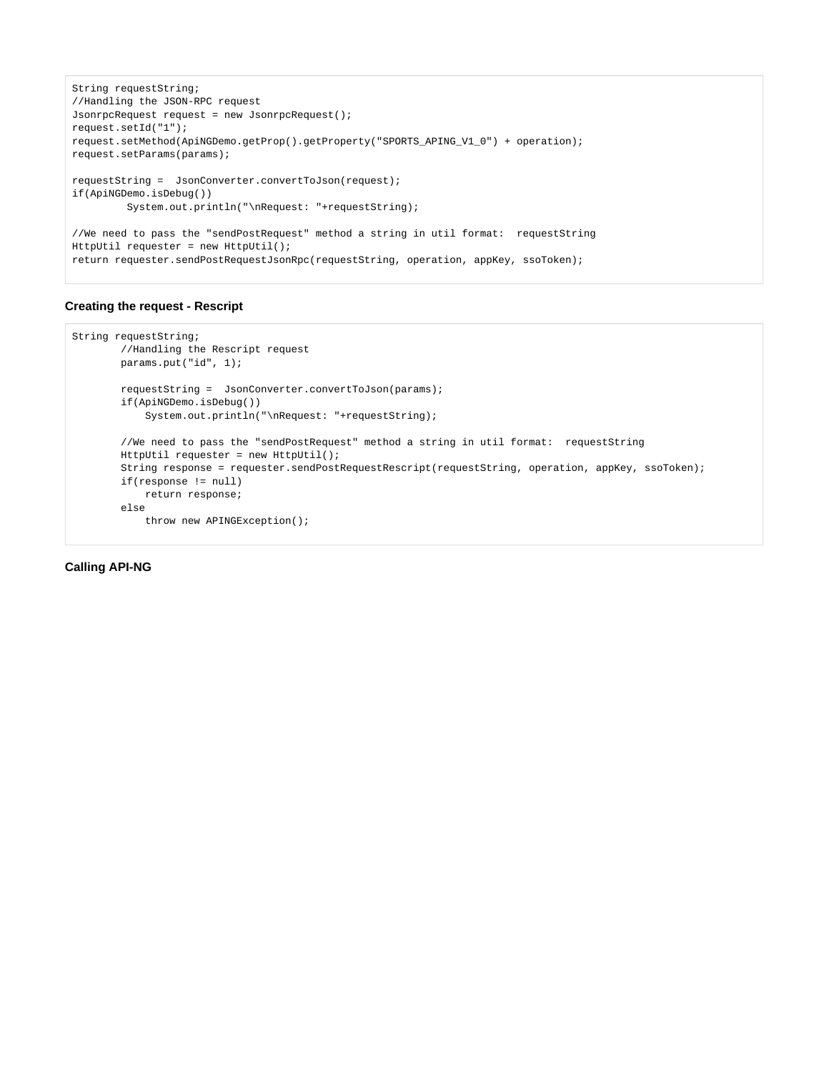```
String requestString;
//Handling the JSON-RPC request
JsonrpcRequest request = new JsonrpcRequest();
request.setId("1");
request.setMethod(ApiNGDemo.getProp().getProperty("SPORTS_APING_V1_0") + operation);
request.setParams(params);
requestString = JsonConverter.convertToJson(request);
if(ApiNGDemo.isDebug())
         System.out.println("\nRequest: "+requestString);
//We need to pass the "sendPostRequest" method a string in util format: requestString
HttpUtil requester = new HttpUtil();
return requester.sendPostRequestJsonRpc(requestString, operation, appKey, ssoToken);
```
#### <span id="page-1-0"></span>**Creating the request - Rescript**

```
String requestString;
         //Handling the Rescript request
         params.put("id", 1);
        requestString = JsonConverter.convertToJson(params);
         if(ApiNGDemo.isDebug())
             System.out.println("\nRequest: "+requestString);
         //We need to pass the "sendPostRequest" method a string in util format: requestString
        HttpUtil requester = new HttpUtil();
         String response = requester.sendPostRequestRescript(requestString, operation, appKey, ssoToken);
         if(response != null)
             return response;
         else
             throw new APINGException();
```
<span id="page-1-1"></span>**Calling API-NG**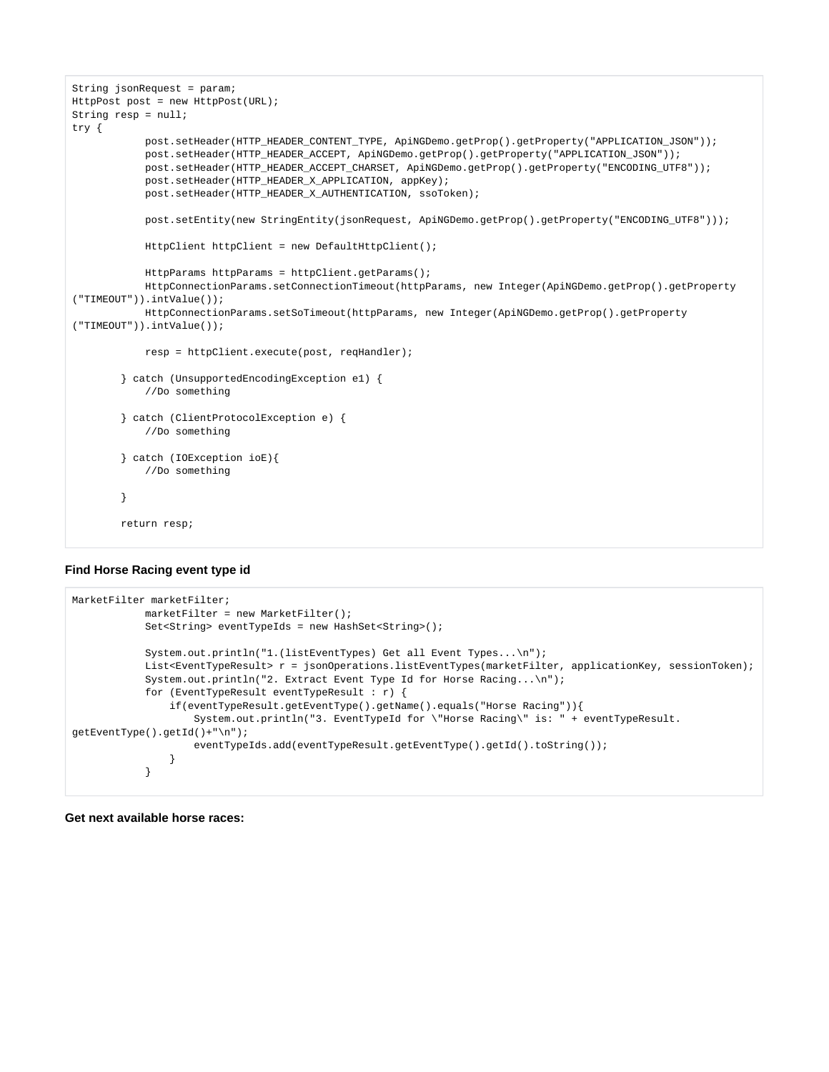```
String jsonRequest = param;
HttpPost post = new HttpPost(URL);
String resp = null;
try {
            post.setHeader(HTTP_HEADER_CONTENT_TYPE, ApiNGDemo.getProp().getProperty("APPLICATION_JSON"));
            post.setHeader(HTTP_HEADER_ACCEPT, ApiNGDemo.getProp().getProperty("APPLICATION_JSON"));
            post.setHeader(HTTP_HEADER_ACCEPT_CHARSET, ApiNGDemo.getProp().getProperty("ENCODING_UTF8"));
            post.setHeader(HTTP_HEADER_X_APPLICATION, appKey);
            post.setHeader(HTTP_HEADER_X_AUTHENTICATION, ssoToken);
            post.setEntity(new StringEntity(jsonRequest, ApiNGDemo.getProp().getProperty("ENCODING_UTF8")));
            HttpClient httpClient = new DefaultHttpClient();
            HttpParams httpParams = httpClient.getParams();
            HttpConnectionParams.setConnectionTimeout(httpParams, new Integer(ApiNGDemo.getProp().getProperty
("TIMEOUT")).intValue());
            HttpConnectionParams.setSoTimeout(httpParams, new Integer(ApiNGDemo.getProp().getProperty
("TIMEOUT")).intValue());
            resp = httpClient.execute(post, reqHandler);
         } catch (UnsupportedEncodingException e1) {
            //Do something
         } catch (ClientProtocolException e) {
            //Do something
         } catch (IOException ioE){
            //Do something
         }
        return resp;
```
#### <span id="page-2-0"></span>**Find Horse Racing event type id**

```
MarketFilter marketFilter;
            marketFilter = new MarketFilter();
            Set<String> eventTypeIds = new HashSet<String>();
            System.out.println("1.(listEventTypes) Get all Event Types...\n");
           List<EventTypeResult> r = jsonOperations.listEventTypes(marketFilter, applicationKey, sessionToken);
            System.out.println("2. Extract Event Type Id for Horse Racing...\n");
            for (EventTypeResult eventTypeResult : r) {
                if(eventTypeResult.getEventType().getName().equals("Horse Racing")){
                    System.out.println("3. EventTypeId for \"Horse Racing\" is: " + eventTypeResult.
getEventType().getId()+"\n");
                    eventTypeIds.add(eventTypeResult.getEventType().getId().toString());
 }
 }
```
<span id="page-2-1"></span>**Get next available horse races:**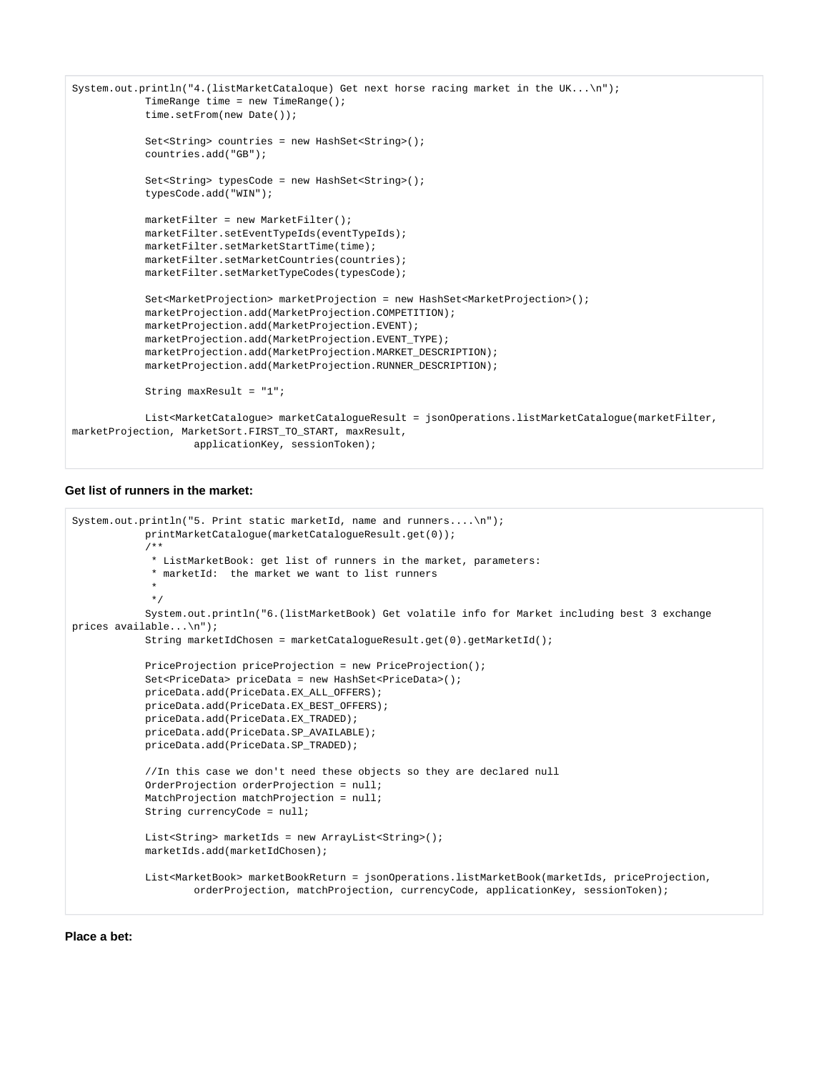```
System.out.println("4.(listMarketCataloque) Get next horse racing market in the UK...\n");
             TimeRange time = new TimeRange();
             time.setFrom(new Date());
             Set<String> countries = new HashSet<String>();
             countries.add("GB");
             Set<String> typesCode = new HashSet<String>();
             typesCode.add("WIN");
             marketFilter = new MarketFilter();
             marketFilter.setEventTypeIds(eventTypeIds);
             marketFilter.setMarketStartTime(time);
             marketFilter.setMarketCountries(countries);
             marketFilter.setMarketTypeCodes(typesCode);
             Set<MarketProjection> marketProjection = new HashSet<MarketProjection>();
             marketProjection.add(MarketProjection.COMPETITION);
             marketProjection.add(MarketProjection.EVENT);
             marketProjection.add(MarketProjection.EVENT_TYPE);
             marketProjection.add(MarketProjection.MARKET_DESCRIPTION);
             marketProjection.add(MarketProjection.RUNNER_DESCRIPTION);
             String maxResult = "1";
             List<MarketCatalogue> marketCatalogueResult = jsonOperations.listMarketCatalogue(marketFilter, 
marketProjection, MarketSort.FIRST_TO_START, maxResult,
                     applicationKey, sessionToken);
```
#### <span id="page-3-0"></span>**Get list of runners in the market:**

```
System.out.println("5. Print static marketId, name and runners....\n\cdot n");
            printMarketCatalogue(marketCatalogueResult.get(0));
             /**
             * ListMarketBook: get list of runners in the market, parameters:
              * marketId: the market we want to list runners
 *
\star/ System.out.println("6.(listMarketBook) Get volatile info for Market including best 3 exchange 
prices available...\n");
            String marketIdChosen = marketCatalogueResult.get(0).getMarketId();
            PriceProjection priceProjection = new PriceProjection();
            Set<PriceData> priceData = new HashSet<PriceData>();
            priceData.add(PriceData.EX_ALL_OFFERS);
            priceData.add(PriceData.EX_BEST_OFFERS);
            priceData.add(PriceData.EX_TRADED);
            priceData.add(PriceData.SP_AVAILABLE);
            priceData.add(PriceData.SP_TRADED);
            //In this case we don't need these objects so they are declared null
            OrderProjection orderProjection = null;
            MatchProjection matchProjection = null;
            String currencyCode = null;
            List<String> marketIds = new ArrayList<String>();
            marketIds.add(marketIdChosen);
            List<MarketBook> marketBookReturn = jsonOperations.listMarketBook(marketIds, priceProjection,
                     orderProjection, matchProjection, currencyCode, applicationKey, sessionToken);
```
#### <span id="page-3-1"></span>**Place a bet:**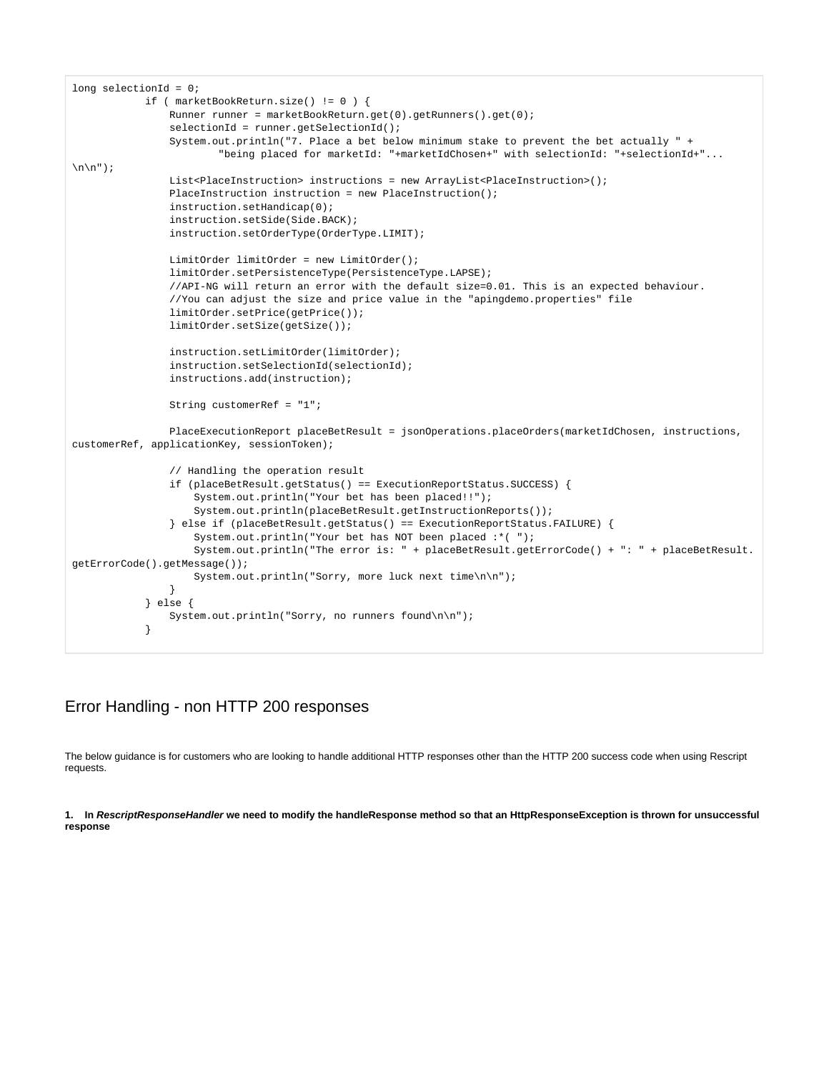```
long selectionId = 0i if ( marketBookReturn.size() != 0 ) {
                Runner runner = marketBookReturn.get(0).getRunners().get(0);
                 selectionId = runner.getSelectionId();
                 System.out.println("7. Place a bet below minimum stake to prevent the bet actually " +
                         "being placed for marketId: "+marketIdChosen+" with selectionId: "+selectionId+"...
\n\ln^n;
                List<PlaceInstruction> instructions = new ArrayList<PlaceInstruction>();
                PlaceInstruction instruction = new PlaceInstruction();
                 instruction.setHandicap(0);
                 instruction.setSide(Side.BACK);
                instruction.setOrderType(OrderType.LIMIT);
                LimitOrder limitOrder = new LimitOrder();
                limitOrder.setPersistenceType(PersistenceType.LAPSE);
                 //API-NG will return an error with the default size=0.01. This is an expected behaviour.
                 //You can adjust the size and price value in the "apingdemo.properties" file
                limitOrder.setPrice(getPrice());
                limitOrder.setSize(getSize());
                 instruction.setLimitOrder(limitOrder);
                 instruction.setSelectionId(selectionId);
                 instructions.add(instruction);
                String customerRef = "1";
                PlaceExecutionReport placeBetResult = jsonOperations.placeOrders(marketIdChosen, instructions, 
customerRef, applicationKey, sessionToken);
                 // Handling the operation result
                 if (placeBetResult.getStatus() == ExecutionReportStatus.SUCCESS) {
                     System.out.println("Your bet has been placed!!");
                     System.out.println(placeBetResult.getInstructionReports());
                 } else if (placeBetResult.getStatus() == ExecutionReportStatus.FAILURE) {
                     System.out.println("Your bet has NOT been placed :*( ");
                     System.out.println("The error is: " + placeBetResult.getErrorCode() + ": " + placeBetResult.
getErrorCode().getMessage());
                     System.out.println("Sorry, more luck next time\n\n");
 }
            } else {
                System.out.println("Sorry, no runners found\n\n");
 }
```
### <span id="page-4-0"></span>Error Handling - non HTTP 200 responses

The below guidance is for customers who are looking to handle additional HTTP responses other than the HTTP 200 success code when using Rescript requests.

**1. In RescriptResponseHandler we need to modify the handleResponse method so that an HttpResponseException is thrown for unsuccessful response**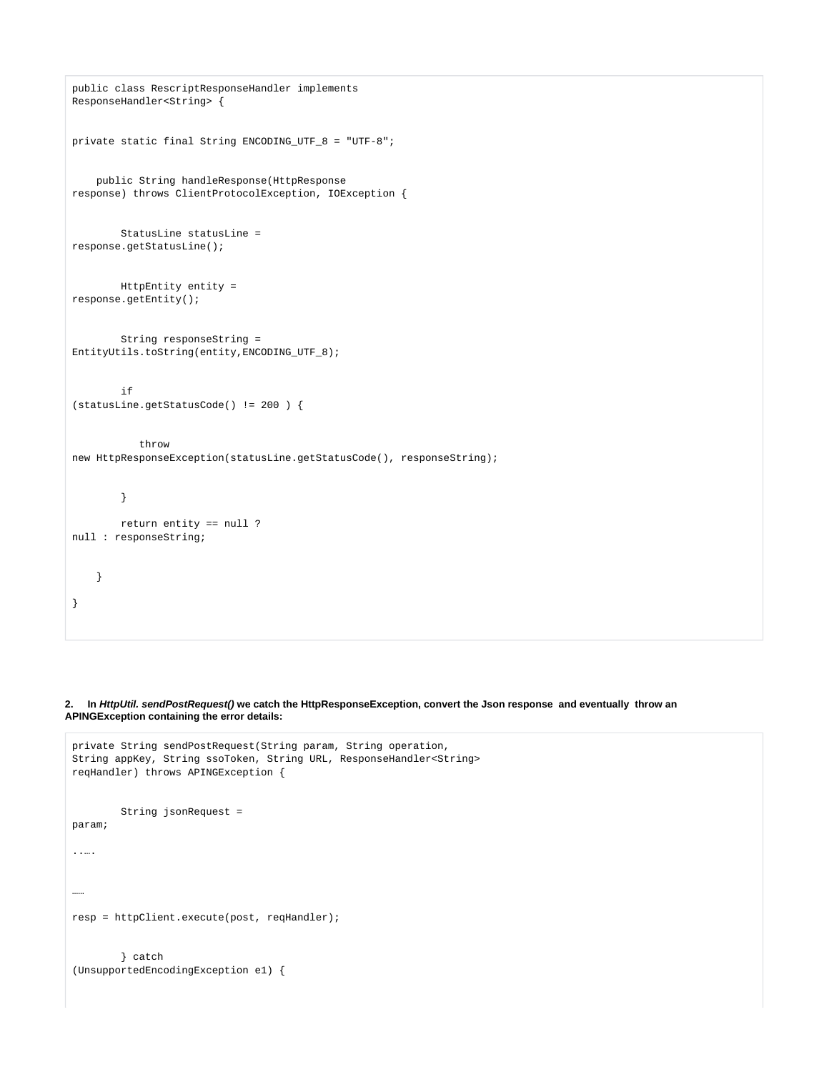```
public class RescriptResponseHandler implements
ResponseHandler<String> {
private static final String ENCODING_UTF_8 = "UTF-8";
    public String handleResponse(HttpResponse
response) throws ClientProtocolException, IOException {
        StatusLine statusLine =
response.getStatusLine();
        HttpEntity entity =
response.getEntity();
        String responseString =
EntityUtils.toString(entity,ENCODING_UTF_8);
         if
(statusLine.getStatusCode() != 200 ) {
            throw
new HttpResponseException(statusLine.getStatusCode(), responseString);
         }
        return entity == null ?
null : responseString;
     }
}
```
**2. In HttpUtil. sendPostRequest() we catch the HttpResponseException, convert the Json response and eventually throw an APINGException containing the error details:**

```
private String sendPostRequest(String param, String operation,
String appKey, String ssoToken, String URL, ResponseHandler<String>
reqHandler) throws APINGException {
         String jsonRequest =
param;
..….
……
resp = httpClient.execute(post, reqHandler);
         } catch
(UnsupportedEncodingException e1) {
```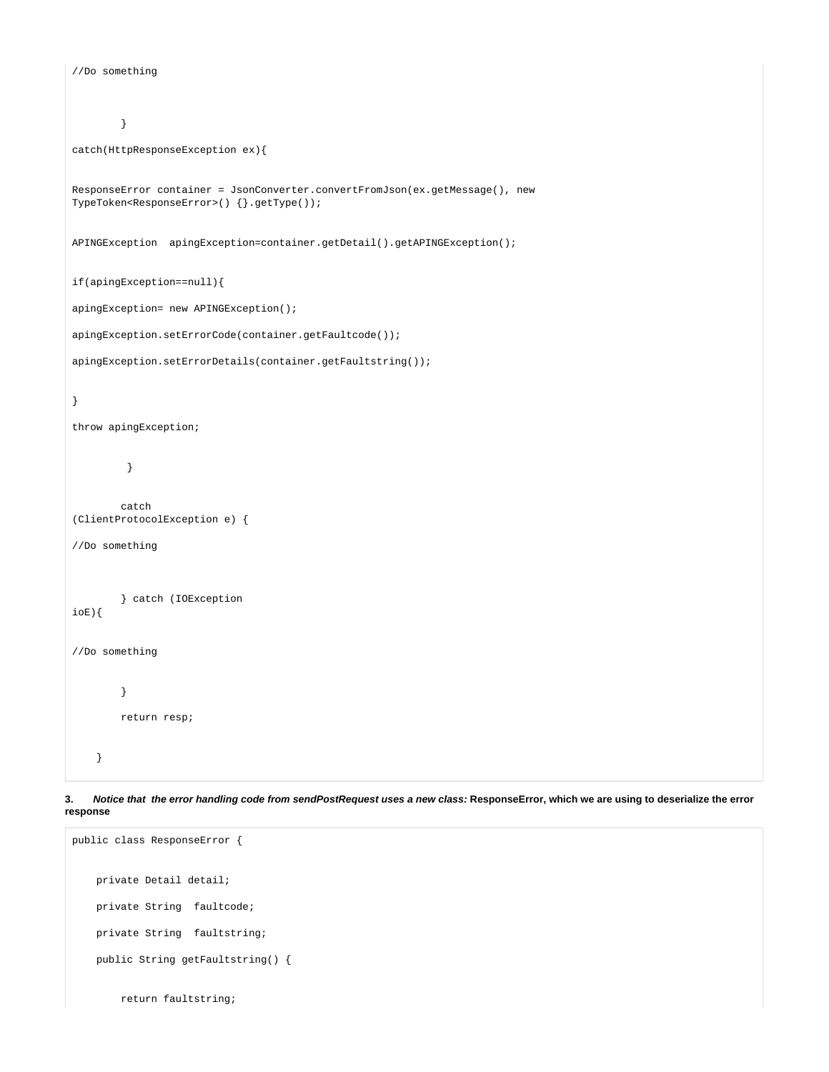```
//Do something
         }
catch(HttpResponseException ex){
ResponseError container = JsonConverter.convertFromJson(ex.getMessage(), new
TypeToken<ResponseError>() {}.getType());
APINGException apingException=container.getDetail().getAPINGException();
if(apingException==null){
apingException= new APINGException();
apingException.setErrorCode(container.getFaultcode());
apingException.setErrorDetails(container.getFaultstring());
}
throw apingException;
          }
        catch
(ClientProtocolException e) {
//Do something
         } catch (IOException
ioE){
//Do something
         }
        return resp;
```
**3. Notice that the error handling code from sendPostRequest uses a new class: ResponseError, which we are using to deserialize the error response**

```
public class ResponseError {
    private Detail detail;
    private String faultcode;
    private String faultstring;
     public String getFaultstring() {
         return faultstring;
```
}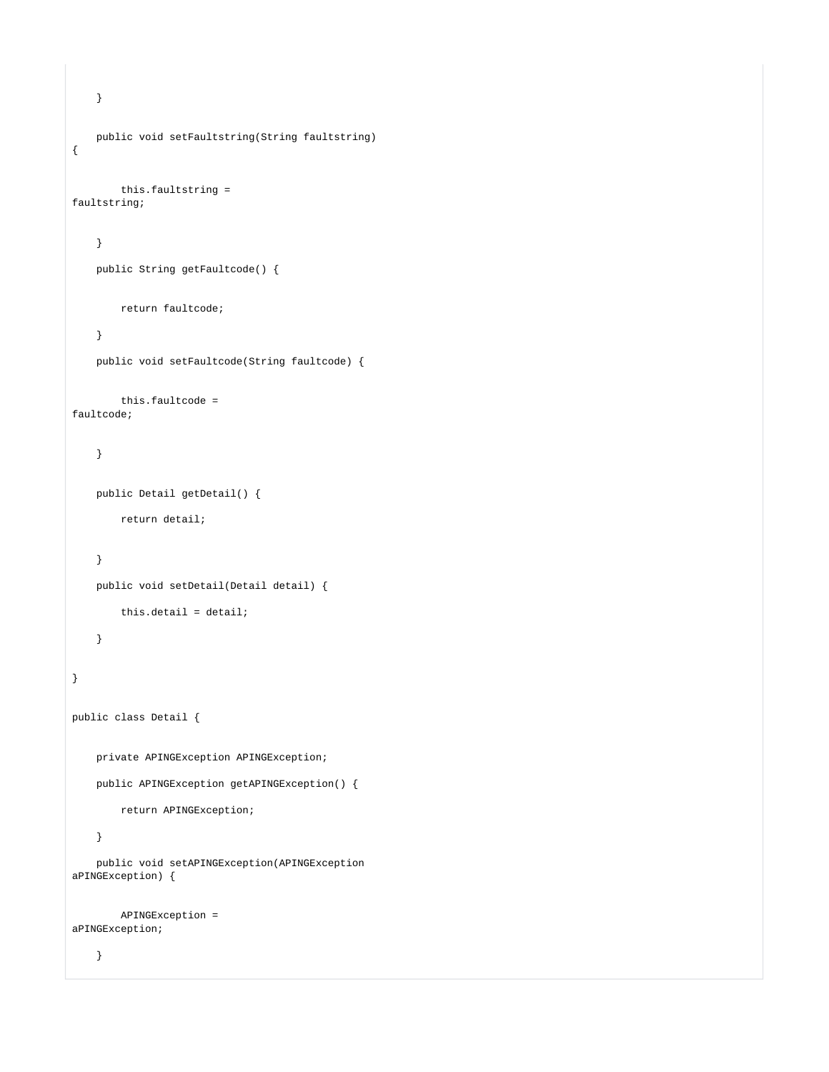```
 }
     public void setFaultstring(String faultstring)
{
        this.faultstring =
faultstring;
     }
     public String getFaultcode() {
        return faultcode;
     }
     public void setFaultcode(String faultcode) {
        this.faultcode =
faultcode;
     }
     public Detail getDetail() {
        return detail;
     }
     public void setDetail(Detail detail) {
         this.detail = detail;
     }
}
public class Detail {
     private APINGException APINGException;
    public APINGException getAPINGException() {
         return APINGException;
     }
     public void setAPINGException(APINGException
aPINGException) {
        APINGException =
aPINGException;
     }
```